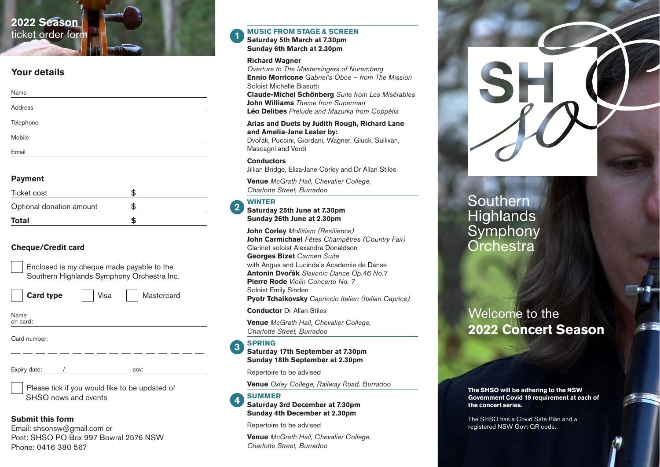# **2022 Season** ticket order form

# **Your details**

| Name      |  |
|-----------|--|
| Address   |  |
| Telephone |  |
| Mobile    |  |
| Email     |  |

# **Payment**

| <b>Total</b>             |  |
|--------------------------|--|
| Optional donation amount |  |
| Ticket cost              |  |

# **Cheque/Credit card**

| Enclosed is my cheque made payable to the  |
|--------------------------------------------|
| Southern Highlands Symphony Orchestra Inc. |

**Card type** | Visa | Mastercard

Name on card:

Card number:

Expiry date:  $\sqrt{ }$  650 csv:

Please tick if you would like to be updated of SHSO news and events

# **Submit this form**

Email: shsonsw@gmail.com or Post: SHSO PO Box 997 Bowral 2576 NSW Phone: 0416 380 567

### **MUSIC FROM STAGE & SCREEN Saturday 5th March at 7.30pm Sunday 6th March at 2.30pm**

# **Richard Wagner**

*Overture to The Mastersingers of Nuremberg* **Ennio Morricone** *Gabriel's Oboe – from The Mission*  Soloist Michellé Biasutti

**Claude-Michel Schönberg** *Suite from Les Misérables* **John Williams** *Theme from Superman* **Léo Delibes** *Prelude and Mazurka from Coppélia*

## **Arias and Duets by Judith Rough, Richard Lane and Amelia-Jane Lester by:**

Dvořák, Puccini, Giordani, Wagner, Gluck, Sullivan, Mascagni and Verdi

**Conductors**

Jillian Bridge, Eliza-Jane Corley and Dr Allan Stiles

**Venue** *McGrath Hall, Chevalier College, Charlotte Street, Burradoo*

## **WINTER**

**2**

**1**

# **Saturday 25th June at 7.30pm Sunday 26th June at 2.30pm**

**John Corley** *Mollitiam (Resilience)* **John Carmichael** *Fêtes Champêtres (Country Fair)* Clarinet soloist Alexandra Donaldson **Georges Bizet** *Carmen Suite* with Angus and Lucinda's Academie de Danse **Antonin Dvo***ř***ák** *Slavonic Dance Op.46 No.7* **Pierre Rode** *Violin Concerto No. 7* Soloist Emily Sinden **Pyotr Tchaikovsky** *Capriccio Italien (Italian Caprice)*

**Conductor** Dr Allan Stiles

**Venue** *McGrath Hall, Chevalier College, Charlotte Street, Burradoo*

#### **SPRING 3**

### **Saturday 17th September at 7.30pm Sunday 18th September at 2.30pm**

Repertoire to be advised

**Venue** *Oxley College, Railway Road, Burradoo* 

#### **SUMMER 4**

**Saturday 3rd December at 7.30pm Sunday 4th December at 2.30pm**

Repertoire to be advised

**Venue** *McGrath Hall, Chevalier College, Charlotte Street, Burradoo*



# Southern **Highlands** Symphony Orchestra

# Welcome to the **2022 Concert Season**

**The SHSO will be adhering to the NSW Government Covid 19 requirement at each of the concert series.** 

The SHSO has a Covid Safe Plan and a registered NSW Govt QR code.